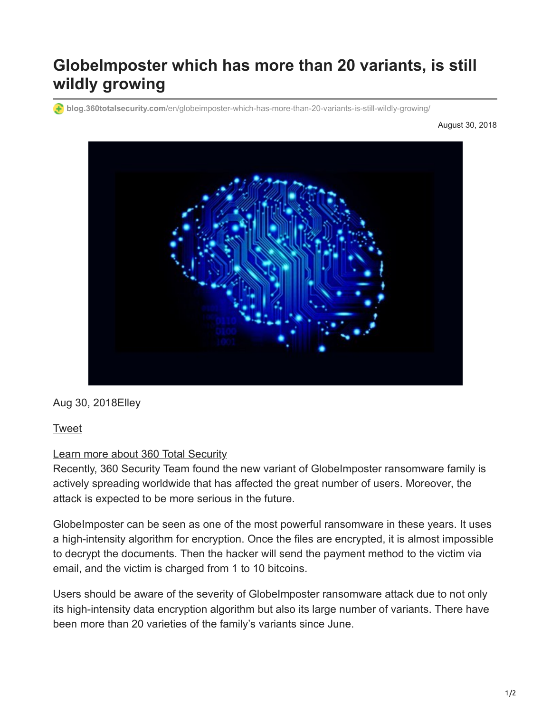# **GlobeImposter which has more than 20 variants, is still wildly growing**

**blog.360totalsecurity.com**[/en/globeimposter-which-has-more-than-20-variants-is-still-wildly-growing/](https://blog.360totalsecurity.com/en/globeimposter-which-has-more-than-20-variants-is-still-wildly-growing/)

August 30, 2018



Aug 30, 2018Elley

## [Tweet](https://twitter.com/share)

#### [Learn more about 360 Total Security](https://www.360totalsecurity.com/en/)

Recently, 360 Security Team found the new variant of GlobeImposter ransomware family is actively spreading worldwide that has affected the great number of users. Moreover, the attack is expected to be more serious in the future.

GlobeImposter can be seen as one of the most powerful ransomware in these years. It uses a high-intensity algorithm for encryption. Once the files are encrypted, it is almost impossible to decrypt the documents. Then the hacker will send the payment method to the victim via email, and the victim is charged from 1 to 10 bitcoins.

Users should be aware of the severity of GlobeImposter ransomware attack due to not only its high-intensity data encryption algorithm but also its large number of variants. There have been more than 20 varieties of the family's variants since June.